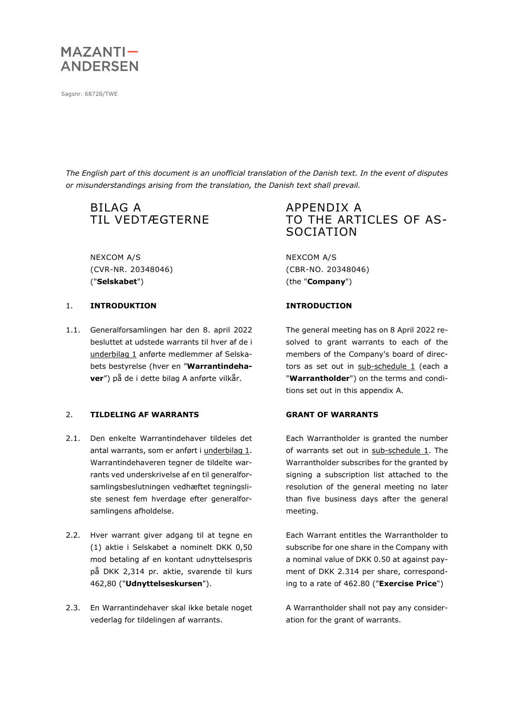

Sagsnr. 68728/TWE

*The English part of this document is an unofficial translation of the Danish text. In the event of disputes or misunderstandings arising from the translation, the Danish text shall prevail.*

# BILAG A TIL VEDTÆGTERNE

NEXCOM A/S (CVR-NR. 20348046) ("**Selskabet**")

#### 1. **INTRODUKTION INTRODUCTION**

1.1. Generalforsamlingen har den 8. april 2022 besluttet at udstede warrants til hver af de i underbilag 1 anførte medlemmer af Selskabets bestyrelse (hver en "**Warrantindehaver**") på de i dette bilag A anførte vilkår.

### 2. **TILDELING AF WARRANTS GRANT OF WARRANTS**

- 2.1. Den enkelte Warrantindehaver tildeles det antal warrants, som er anført i underbilag 1. Warrantindehaveren tegner de tildelte warrants ved underskrivelse af en til generalforsamlingsbeslutningen vedhæftet tegningsliste senest fem hverdage efter generalforsamlingens afholdelse.
- 2.2. Hver warrant giver adgang til at tegne en (1) aktie i Selskabet a nominelt DKK 0,50 mod betaling af en kontant udnyttelsespris på DKK 2,314 pr. aktie, svarende til kurs 462,80 ("**Udnyttelseskursen**").
- <span id="page-0-0"></span>2.3. En Warrantindehaver skal ikke betale noget vederlag for tildelingen af warrants.

## APPENDIX A TO THE ARTICLES OF AS-SOCIATION

NEXCOM A/S (CBR-NO. 20348046) (the "**Company**")

The general meeting has on 8 April 2022 resolved to grant warrants to each of the members of the Company's board of directors as set out in  $sub-scheduled = 1$  (each a "**Warrantholder**") on the terms and conditions set out in this appendix A.

Each Warrantholder is granted the number of warrants set out in sub-schedule 1. The Warrantholder subscribes for the granted by signing a subscription list attached to the resolution of the general meeting no later than five business days after the general meeting.

Each Warrant entitles the Warrantholder to subscribe for one share in the Company with a nominal value of DKK 0.50 at against payment of DKK 2.314 per share, corresponding to a rate of 462.80 ("**Exercise Price**")

A Warrantholder shall not pay any consideration for the grant of warrants.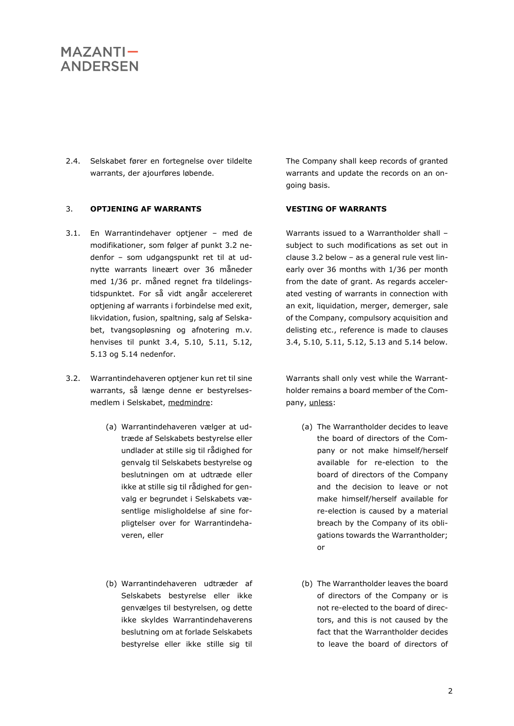2.4. Selskabet fører en fortegnelse over tildelte warrants, der ajourføres løbende.

### 3. **OPTJENING AF WARRANTS VESTING OF WARRANTS**

- 3.1. En Warrantindehaver optjener med de modifikationer, som følger af punkt [3.2](#page-1-0) nedenfor – som udgangspunkt ret til at udnytte warrants lineært over 36 måneder med 1/36 pr. måned regnet fra tildelingstidspunktet. For så vidt angår accelereret optjening af warrants i forbindelse med exit, likvidation, fusion, spaltning, salg af Selskabet, tvangsopløsning og afnotering m.v. henvises til punkt [3.4,](#page-2-0) [5.10,](#page-9-0) [5.11,](#page-10-0) [5.12,](#page-10-1) [5.13](#page-11-0) og [5.14](#page-11-1) nedenfor.
- <span id="page-1-0"></span>3.2. Warrantindehaveren optjener kun ret til sine warrants, så længe denne er bestyrelsesmedlem i Selskabet, medmindre:
	- (a) Warrantindehaveren vælger at udtræde af Selskabets bestyrelse eller undlader at stille sig til rådighed for genvalg til Selskabets bestyrelse og beslutningen om at udtræde eller ikke at stille sig til rådighed for genvalg er begrundet i Selskabets væsentlige misligholdelse af sine forpligtelser over for Warrantindehaveren, eller
	- (b) Warrantindehaveren udtræder af Selskabets bestyrelse eller ikke genvælges til bestyrelsen, og dette ikke skyldes Warrantindehaverens beslutning om at forlade Selskabets bestyrelse eller ikke stille sig til

The Company shall keep records of granted warrants and update the records on an ongoing basis.

Warrants issued to a Warrantholder shall – subject to such modifications as set out in claus[e 3.2](#page-1-0) below – as a general rule vest linearly over 36 months with 1/36 per month from the date of grant. As regards accelerated vesting of warrants in connection with an exit, liquidation, merger, demerger, sale of the Company, compulsory acquisition and delisting etc., reference is made to clauses [3.4,](#page-2-0) [5.10,](#page-9-0) [5.11,](#page-10-0) [5.12,](#page-10-1) [5.13](#page-11-0) and [5.14](#page-11-1) below.

Warrants shall only vest while the Warrantholder remains a board member of the Company, unless:

- (a) The Warrantholder decides to leave the board of directors of the Company or not make himself/herself available for re-election to the board of directors of the Company and the decision to leave or not make himself/herself available for re-election is caused by a material breach by the Company of its obligations towards the Warrantholder; or
- (b) The Warrantholder leaves the board of directors of the Company or is not re-elected to the board of directors, and this is not caused by the fact that the Warrantholder decides to leave the board of directors of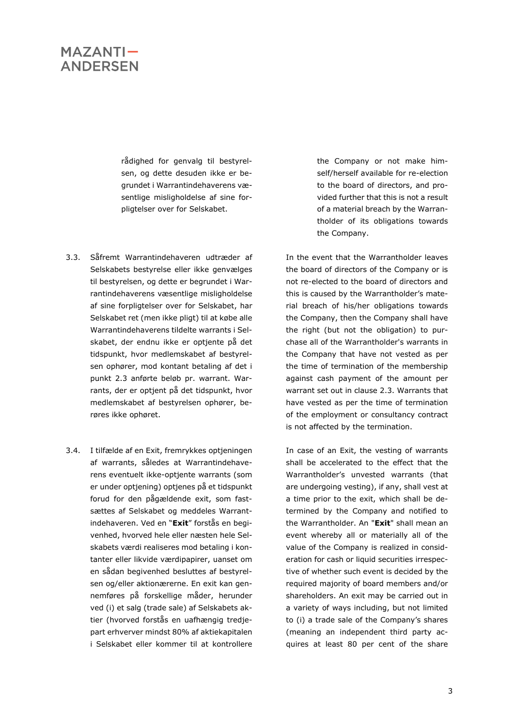rådighed for genvalg til bestyrelsen, og dette desuden ikke er begrundet i Warrantindehaverens væsentlige misligholdelse af sine forpligtelser over for Selskabet.

- 3.3. Såfremt Warrantindehaveren udtræder af Selskabets bestyrelse eller ikke genvælges til bestyrelsen, og dette er begrundet i Warrantindehaverens væsentlige misligholdelse af sine forpligtelser over for Selskabet, har Selskabet ret (men ikke pligt) til at købe alle Warrantindehaverens tildelte warrants i Selskabet, der endnu ikke er optjente på det tidspunkt, hvor medlemskabet af bestyrelsen ophører, mod kontant betaling af det i punkt [2.3](#page-0-0) anførte beløb pr. warrant. Warrants, der er optjent på det tidspunkt, hvor medlemskabet af bestyrelsen ophører, berøres ikke ophøret.
- <span id="page-2-0"></span>3.4. I tilfælde af en Exit, fremrykkes optjeningen af warrants, således at Warrantindehaverens eventuelt ikke-optjente warrants (som er under optjening) optjenes på et tidspunkt forud for den pågældende exit, som fastsættes af Selskabet og meddeles Warrantindehaveren. Ved en "**Exit**" forstås en begivenhed, hvorved hele eller næsten hele Selskabets værdi realiseres mod betaling i kontanter eller likvide værdipapirer, uanset om en sådan begivenhed besluttes af bestyrelsen og/eller aktionærerne. En exit kan gennemføres på forskellige måder, herunder ved (i) et salg (trade sale) af Selskabets aktier (hvorved forstås en uafhængig tredjepart erhverver mindst 80% af aktiekapitalen i Selskabet eller kommer til at kontrollere

the Company or not make himself/herself available for re-election to the board of directors, and provided further that this is not a result of a material breach by the Warrantholder of its obligations towards the Company.

In the event that the Warrantholder leaves the board of directors of the Company or is not re-elected to the board of directors and this is caused by the Warrantholder's material breach of his/her obligations towards the Company, then the Company shall have the right (but not the obligation) to purchase all of the Warrantholder's warrants in the Company that have not vested as per the time of termination of the membership against cash payment of the amount per warrant set out in clause [2.3.](#page-0-0) Warrants that have vested as per the time of termination of the employment or consultancy contract is not affected by the termination.

In case of an Exit, the vesting of warrants shall be accelerated to the effect that the Warrantholder's unvested warrants (that are undergoing vesting), if any, shall vest at a time prior to the exit, which shall be determined by the Company and notified to the Warrantholder. An "**Exit**" shall mean an event whereby all or materially all of the value of the Company is realized in consideration for cash or liquid securities irrespective of whether such event is decided by the required majority of board members and/or shareholders. An exit may be carried out in a variety of ways including, but not limited to (i) a trade sale of the Company's shares (meaning an independent third party acquires at least 80 per cent of the share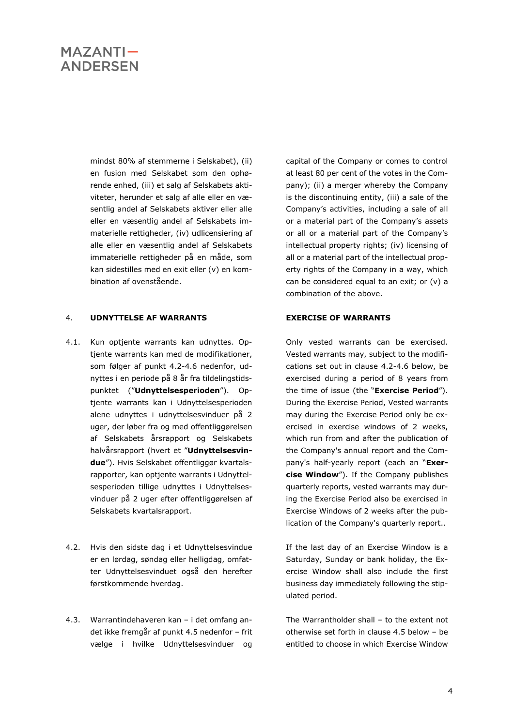mindst 80% af stemmerne i Selskabet), (ii) en fusion med Selskabet som den ophørende enhed, (iii) et salg af Selskabets aktiviteter, herunder et salg af alle eller en væsentlig andel af Selskabets aktiver eller alle eller en væsentlig andel af Selskabets immaterielle rettigheder, (iv) udlicensiering af alle eller en væsentlig andel af Selskabets immaterielle rettigheder på en måde, som kan sidestilles med en exit eller (v) en kombination af ovenstående.

#### 4. **UDNYTTELSE AF WARRANTS EXERCISE OF WARRANTS**

- 4.1. Kun optjente warrants kan udnyttes. Optjente warrants kan med de modifikationer, som følger af punkt [4.2-](#page-3-0)[4.6](#page-4-0) nedenfor, udnyttes i en periode på 8 år fra tildelingstidspunktet ("**Udnyttelsesperioden**"). Optjente warrants kan i Udnyttelsesperioden alene udnyttes i udnyttelsesvinduer på 2 uger, der løber fra og med offentliggørelsen af Selskabets årsrapport og Selskabets halvårsrapport (hvert et "**Udnyttelsesvindue**"). Hvis Selskabet offentliggør kvartalsrapporter, kan optjente warrants i Udnyttelsesperioden tillige udnyttes i Udnyttelsesvinduer på 2 uger efter offentliggørelsen af Selskabets kvartalsrapport.
- <span id="page-3-0"></span>4.2. Hvis den sidste dag i et Udnyttelsesvindue er en lørdag, søndag eller helligdag, omfatter Udnyttelsesvinduet også den herefter førstkommende hverdag.
- 4.3. Warrantindehaveren kan i det omfang andet ikke fremgår af punkt [4.5](#page-4-1) nedenfor – frit vælge i hvilke Udnyttelsesvinduer og

capital of the Company or comes to control at least 80 per cent of the votes in the Company); (ii) a merger whereby the Company is the discontinuing entity, (iii) a sale of the Company's activities, including a sale of all or a material part of the Company's assets or all or a material part of the Company's intellectual property rights; (iv) licensing of all or a material part of the intellectual property rights of the Company in a way, which can be considered equal to an exit; or (v) a combination of the above.

Only vested warrants can be exercised. Vested warrants may, subject to the modifications set out in clause [4.2-](#page-3-0)[4.6](#page-4-0) below, be exercised during a period of 8 years from the time of issue (the "**Exercise Period**"). During the Exercise Period, Vested warrants may during the Exercise Period only be exercised in exercise windows of 2 weeks, which run from and after the publication of the Company's annual report and the Company's half-yearly report (each an "**Exercise Window**"). If the Company publishes quarterly reports, vested warrants may during the Exercise Period also be exercised in Exercise Windows of 2 weeks after the publication of the Company's quarterly report..

If the last day of an Exercise Window is a Saturday, Sunday or bank holiday, the Exercise Window shall also include the first business day immediately following the stipulated period.

The Warrantholder shall – to the extent not otherwise set forth in clause [4.5](#page-4-1) below – be entitled to choose in which Exercise Window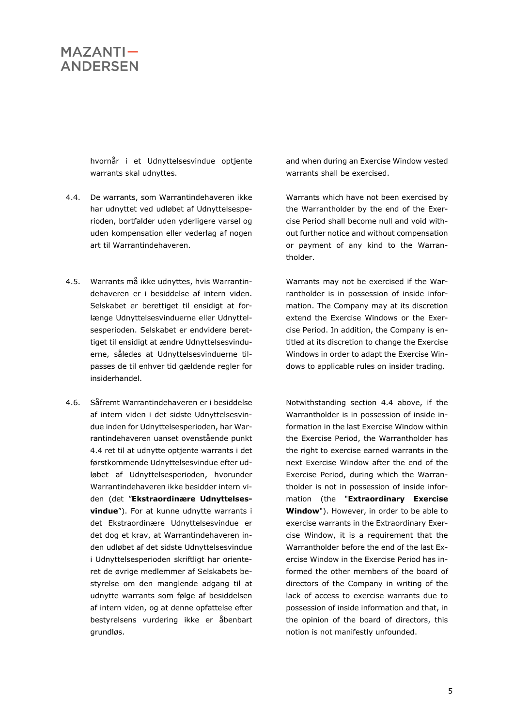hvornår i et Udnyttelsesvindue optjente warrants skal udnyttes.

- <span id="page-4-2"></span>4.4. De warrants, som Warrantindehaveren ikke har udnyttet ved udløbet af Udnyttelsesperioden, bortfalder uden yderligere varsel og uden kompensation eller vederlag af nogen art til Warrantindehaveren.
- <span id="page-4-1"></span>4.5. Warrants må ikke udnyttes, hvis Warrantindehaveren er i besiddelse af intern viden. Selskabet er berettiget til ensidigt at forlænge Udnyttelsesvinduerne eller Udnyttelsesperioden. Selskabet er endvidere berettiget til ensidigt at ændre Udnyttelsesvinduerne, således at Udnyttelsesvinduerne tilpasses de til enhver tid gældende regler for insiderhandel.
- <span id="page-4-0"></span>4.6. Såfremt Warrantindehaveren er i besiddelse af intern viden i det sidste Udnyttelsesvindue inden for Udnyttelsesperioden, har Warrantindehaveren uanset ovenstående punkt [4.4](#page-4-2) ret til at udnytte optjente warrants i det førstkommende Udnyttelsesvindue efter udløbet af Udnyttelsesperioden, hvorunder Warrantindehaveren ikke besidder intern viden (det "**Ekstraordinære Udnyttelsesvindue**"). For at kunne udnytte warrants i det Ekstraordinære Udnyttelsesvindue er det dog et krav, at Warrantindehaveren inden udløbet af det sidste Udnyttelsesvindue i Udnyttelsesperioden skriftligt har orienteret de øvrige medlemmer af Selskabets bestyrelse om den manglende adgang til at udnytte warrants som følge af besiddelsen af intern viden, og at denne opfattelse efter bestyrelsens vurdering ikke er åbenbart grundløs.

and when during an Exercise Window vested warrants shall be exercised.

Warrants which have not been exercised by the Warrantholder by the end of the Exercise Period shall become null and void without further notice and without compensation or payment of any kind to the Warrantholder.

Warrants may not be exercised if the Warrantholder is in possession of inside information. The Company may at its discretion extend the Exercise Windows or the Exercise Period. In addition, the Company is entitled at its discretion to change the Exercise Windows in order to adapt the Exercise Windows to applicable rules on insider trading.

Notwithstanding section [4.4](#page-4-2) above, if the Warrantholder is in possession of inside information in the last Exercise Window within the Exercise Period, the Warrantholder has the right to exercise earned warrants in the next Exercise Window after the end of the Exercise Period, during which the Warrantholder is not in possession of inside information (the "**Extraordinary Exercise Window**"). However, in order to be able to exercise warrants in the Extraordinary Exercise Window, it is a requirement that the Warrantholder before the end of the last Exercise Window in the Exercise Period has informed the other members of the board of directors of the Company in writing of the lack of access to exercise warrants due to possession of inside information and that, in the opinion of the board of directors, this notion is not manifestly unfounded.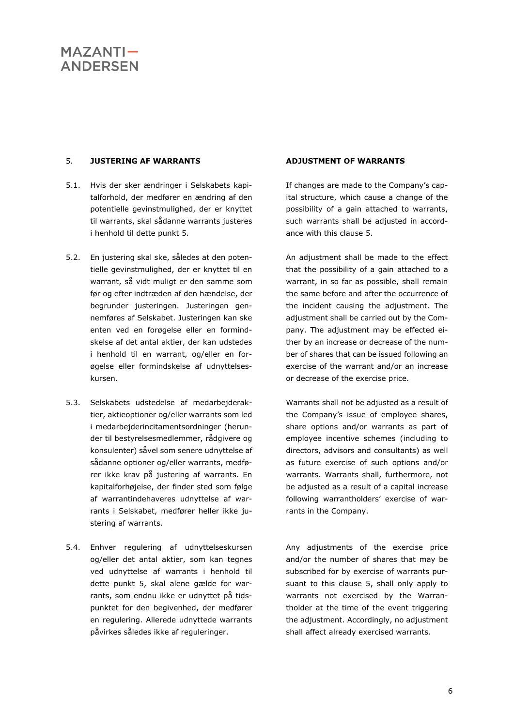### <span id="page-5-0"></span>5. **JUSTERING AF WARRANTS ADJUSTMENT OF WARRANTS**

- 5.1. Hvis der sker ændringer i Selskabets kapitalforhold, der medfører en ændring af den potentielle gevinstmulighed, der er knyttet til warrants, skal sådanne warrants justeres i henhold til dette punkt [5.](#page-5-0)
- 5.2. En justering skal ske, således at den potentielle gevinstmulighed, der er knyttet til en warrant, så vidt muligt er den samme som før og efter indtræden af den hændelse, der begrunder justeringen. Justeringen gennemføres af Selskabet. Justeringen kan ske enten ved en forøgelse eller en formindskelse af det antal aktier, der kan udstedes i henhold til en warrant, og/eller en forøgelse eller formindskelse af udnyttelseskursen.
- 5.3. Selskabets udstedelse af medarbejderaktier, aktieoptioner og/eller warrants som led i medarbejderincitamentsordninger (herunder til bestyrelsesmedlemmer, rådgivere og konsulenter) såvel som senere udnyttelse af sådanne optioner og/eller warrants, medfører ikke krav på justering af warrants. En kapitalforhøjelse, der finder sted som følge af warrantindehaveres udnyttelse af warrants i Selskabet, medfører heller ikke justering af warrants.
- 5.4. Enhver regulering af udnyttelseskursen og/eller det antal aktier, som kan tegnes ved udnyttelse af warrants i henhold til dette punkt [5,](#page-5-0) skal alene gælde for warrants, som endnu ikke er udnyttet på tidspunktet for den begivenhed, der medfører en regulering. Allerede udnyttede warrants påvirkes således ikke af reguleringer.

If changes are made to the Company's capital structure, which cause a change of the possibility of a gain attached to warrants, such warrants shall be adjusted in accordance with this clause [5.](#page-5-0)

An adjustment shall be made to the effect that the possibility of a gain attached to a warrant, in so far as possible, shall remain the same before and after the occurrence of the incident causing the adjustment. The adjustment shall be carried out by the Company. The adjustment may be effected either by an increase or decrease of the number of shares that can be issued following an exercise of the warrant and/or an increase or decrease of the exercise price.

Warrants shall not be adjusted as a result of the Company's issue of employee shares, share options and/or warrants as part of employee incentive schemes (including to directors, advisors and consultants) as well as future exercise of such options and/or warrants. Warrants shall, furthermore, not be adjusted as a result of a capital increase following warrantholders' exercise of warrants in the Company.

Any adjustments of the exercise price and/or the number of shares that may be subscribed for by exercise of warrants pursuant to this clause [5,](#page-5-0) shall only apply to warrants not exercised by the Warrantholder at the time of the event triggering the adjustment. Accordingly, no adjustment shall affect already exercised warrants.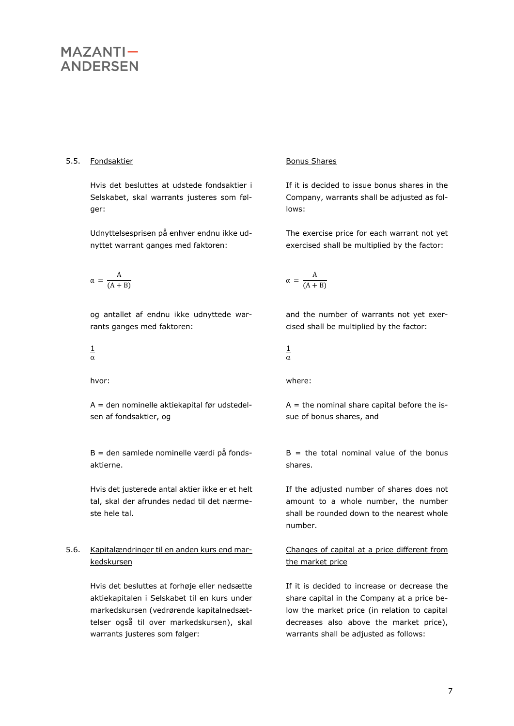### 5.5. Fondsaktier Bonus Shares

Hvis det besluttes at udstede fondsaktier i Selskabet, skal warrants justeres som følger:

Udnyttelsesprisen på enhver endnu ikke udnyttet warrant ganges med faktoren:

$$
\alpha\,=\,\frac{A}{(A+B)}
$$

og antallet af endnu ikke udnyttede warrants ganges med faktoren:

$$
\frac{1}{\alpha}
$$

A = den nominelle aktiekapital før udstedelsen af fondsaktier, og

B = den samlede nominelle værdi på fondsaktierne.

Hvis det justerede antal aktier ikke er et helt tal, skal der afrundes nedad til det nærmeste hele tal.

### <span id="page-6-0"></span>5.6. Kapitalændringer til en anden kurs end markedskursen

Hvis det besluttes at forhøje eller nedsætte aktiekapitalen i Selskabet til en kurs under markedskursen (vedrørende kapitalnedsættelser også til over markedskursen), skal warrants justeres som følger:

If it is decided to issue bonus shares in the Company, warrants shall be adjusted as follows:

The exercise price for each warrant not yet exercised shall be multiplied by the factor:

$$
\alpha\,=\,\frac{A}{(A+B)}
$$

and the number of warrants not yet exercised shall be multiplied by the factor:

$$
\frac{1}{\alpha}
$$

hvor: where:

 $A =$  the nominal share capital before the issue of bonus shares, and

 $B =$  the total nominal value of the bonus shares.

If the adjusted number of shares does not amount to a whole number, the number shall be rounded down to the nearest whole number.

### Changes of capital at a price different from the market price

If it is decided to increase or decrease the share capital in the Company at a price below the market price (in relation to capital decreases also above the market price), warrants shall be adjusted as follows: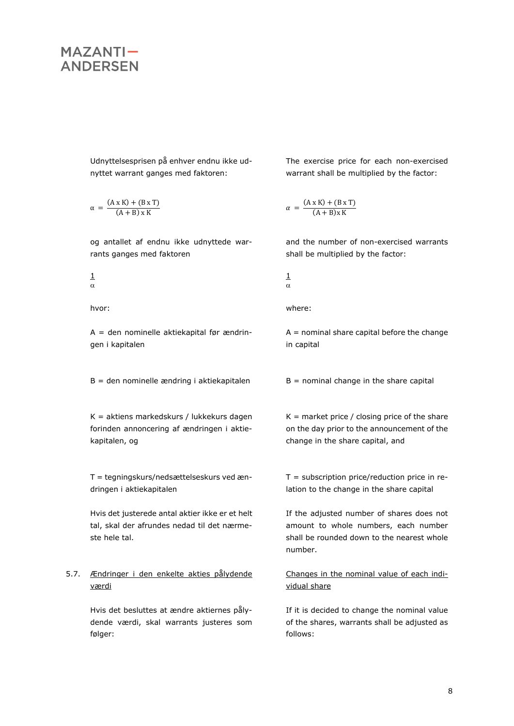Udnyttelsesprisen på enhver endnu ikke udnyttet warrant ganges med faktoren:

$$
\alpha = \frac{(A \times K) + (B \times T)}{(A + B) \times K}
$$

og antallet af endnu ikke udnyttede warrants ganges med faktoren

1  $\alpha$ 

A = den nominelle aktiekapital før ændringen i kapitalen

 $B =$  den nominelle ændring i aktiekapitalen  $B =$  nominal change in the share capital

K = aktiens markedskurs / lukkekurs dagen forinden annoncering af ændringen i aktiekapitalen, og

T = tegningskurs/nedsættelseskurs ved ændringen i aktiekapitalen

Hvis det justerede antal aktier ikke er et helt tal, skal der afrundes nedad til det nærmeste hele tal.

### 5.7. Ændringer i den enkelte akties pålydende værdi

Hvis det besluttes at ændre aktiernes pålydende værdi, skal warrants justeres som følger:

The exercise price for each non-exercised warrant shall be multiplied by the factor:

$$
\alpha = \frac{(A \times K) + (B \times T)}{(A + B) \times K}
$$

and the number of non-exercised warrants shall be multiplied by the factor:

$$
\tfrac{1}{\alpha}
$$

hvor: where:

 $A =$  nominal share capital before the change in capital

 $K =$  market price / closing price of the share on the day prior to the announcement of the change in the share capital, and

 $T =$  subscription price/reduction price in relation to the change in the share capital

If the adjusted number of shares does not amount to whole numbers, each number shall be rounded down to the nearest whole number.

Changes in the nominal value of each individual share

If it is decided to change the nominal value of the shares, warrants shall be adjusted as follows: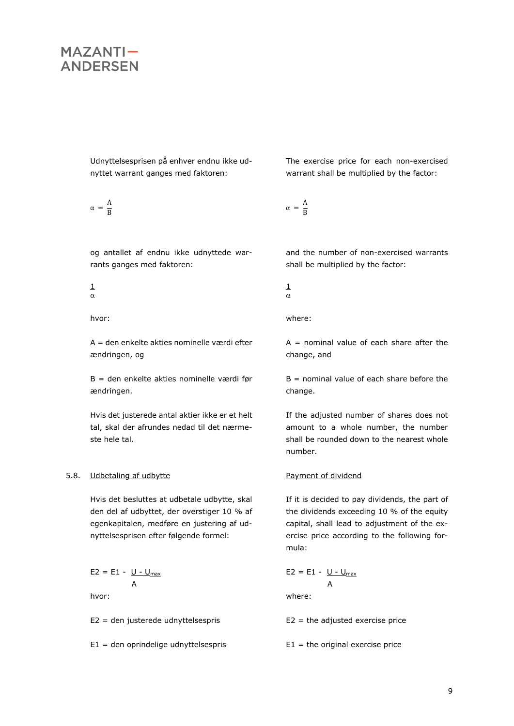Udnyttelsesprisen på enhver endnu ikke udnyttet warrant ganges med faktoren:

$$
\alpha\,=\,\frac{A}{B}
$$

og antallet af endnu ikke udnyttede warrants ganges med faktoren:

$$
\frac{1}{\alpha}
$$

A = den enkelte akties nominelle værdi efter ændringen, og

B = den enkelte akties nominelle værdi før ændringen.

Hvis det justerede antal aktier ikke er et helt tal, skal der afrundes nedad til det nærmeste hele tal.

### 5.8. Udbetaling af udbytte entitled and the Payment of dividend

Hvis det besluttes at udbetale udbytte, skal den del af udbyttet, der overstiger 10 % af egenkapitalen, medføre en justering af udnyttelsesprisen efter følgende formel:

$$
E2 = E1 - \underbrace{U - U_{\text{max}}}_{A}
$$
  
hvor:

E2 = den justerede udnyttelsespris

E1 = den oprindelige udnyttelsespris

The exercise price for each non-exercised warrant shall be multiplied by the factor:

 $\alpha = \frac{A}{R}$ B

and the number of non-exercised warrants shall be multiplied by the factor:

$$
\tfrac{1}{\alpha}
$$

hvor: where:

 $A =$  nominal value of each share after the change, and

 $B =$  nominal value of each share before the change.

If the adjusted number of shares does not amount to a whole number, the number shall be rounded down to the nearest whole number.

If it is decided to pay dividends, the part of the dividends exceeding 10 % of the equity capital, shall lead to adjustment of the exercise price according to the following formula:

$$
E2 = E1 - \underbrace{U - U_{\text{max}}}_{A}
$$
\nwhere:

 $E2 =$  the adjusted exercise price

 $E1$  = the original exercise price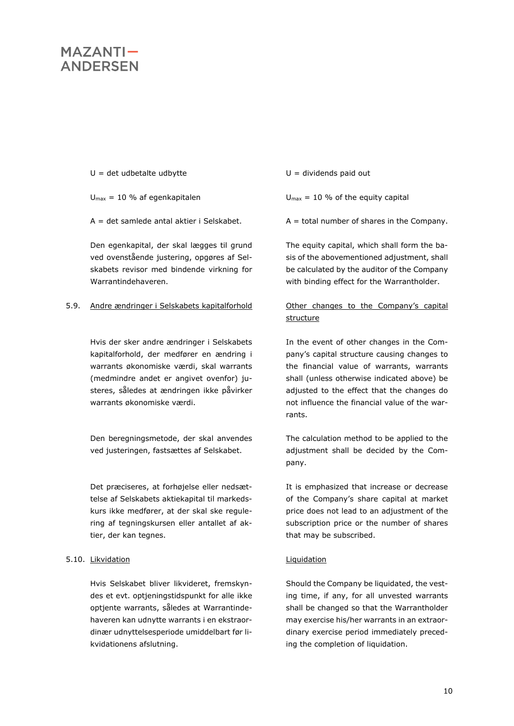- $U = det udbetale udbytte$
- $U_{\text{max}} = 10$  % af egenkapitalen
- A = det samlede antal aktier i Selskabet.

Den egenkapital, der skal lægges til grund ved ovenstående justering, opgøres af Selskabets revisor med bindende virkning for Warrantindehaveren.

### 5.9. Andre ændringer i Selskabets kapitalforhold Other changes to the Company's capital

Hvis der sker andre ændringer i Selskabets kapitalforhold, der medfører en ændring i warrants økonomiske værdi, skal warrants (medmindre andet er angivet ovenfor) justeres, således at ændringen ikke påvirker warrants økonomiske værdi.

Den beregningsmetode, der skal anvendes ved justeringen, fastsættes af Selskabet.

Det præciseres, at forhøjelse eller nedsættelse af Selskabets aktiekapital til markedskurs ikke medfører, at der skal ske regulering af tegningskursen eller antallet af aktier, der kan tegnes.

### <span id="page-9-0"></span>5.10. Likvidation **Liguidation** Liquidation

Hvis Selskabet bliver likvideret, fremskyndes et evt. optjeningstidspunkt for alle ikke optjente warrants, således at Warrantindehaveren kan udnytte warrants i en ekstraordinær udnyttelsesperiode umiddelbart før likvidationens afslutning.

 $U =$  dividends paid out

 $U_{\text{max}} = 10$  % of the equity capital

 $A =$  total number of shares in the Company.

The equity capital, which shall form the basis of the abovementioned adjustment, shall be calculated by the auditor of the Company with binding effect for the Warrantholder.

# structure

In the event of other changes in the Company's capital structure causing changes to the financial value of warrants, warrants shall (unless otherwise indicated above) be adjusted to the effect that the changes do not influence the financial value of the warrants.

The calculation method to be applied to the adjustment shall be decided by the Company.

It is emphasized that increase or decrease of the Company's share capital at market price does not lead to an adjustment of the subscription price or the number of shares that may be subscribed.

Should the Company be liquidated, the vesting time, if any, for all unvested warrants shall be changed so that the Warrantholder may exercise his/her warrants in an extraordinary exercise period immediately preceding the completion of liquidation.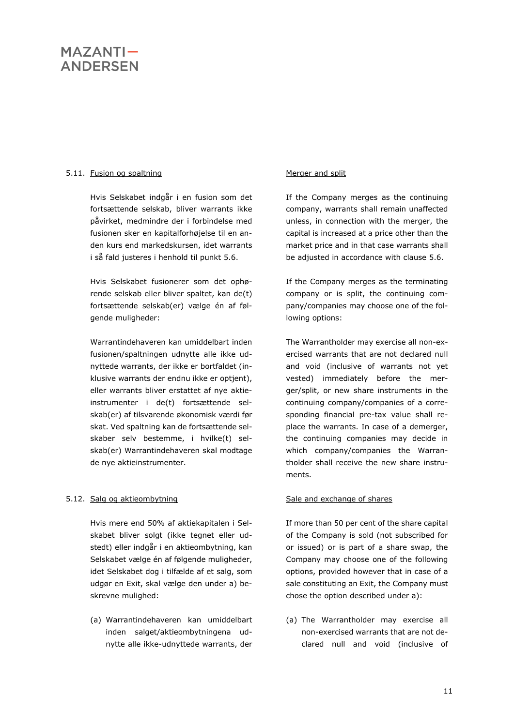### <span id="page-10-0"></span>5.11. Fusion og spaltning med and split Merger and split

Hvis Selskabet indgår i en fusion som det fortsættende selskab, bliver warrants ikke påvirket, medmindre der i forbindelse med fusionen sker en kapitalforhøjelse til en anden kurs end markedskursen, idet warrants i så fald justeres i henhold til punkt [5.6.](#page-6-0)

Hvis Selskabet fusionerer som det ophørende selskab eller bliver spaltet, kan de(t) fortsættende selskab(er) vælge én af følgende muligheder:

Warrantindehaveren kan umiddelbart inden fusionen/spaltningen udnytte alle ikke udnyttede warrants, der ikke er bortfaldet (inklusive warrants der endnu ikke er optjent), eller warrants bliver erstattet af nye aktieinstrumenter i de(t) fortsættende selskab(er) af tilsvarende økonomisk værdi før skat. Ved spaltning kan de fortsættende selskaber selv bestemme, i hvilke(t) selskab(er) Warrantindehaveren skal modtage de nye aktieinstrumenter.

### <span id="page-10-1"></span>5.12. Salg og aktieombytning Sale and exchange of shares

Hvis mere end 50% af aktiekapitalen i Selskabet bliver solgt (ikke tegnet eller udstedt) eller indgår i en aktieombytning, kan Selskabet vælge én af følgende muligheder, idet Selskabet dog i tilfælde af et salg, som udgør en Exit, skal vælge den under a) beskrevne mulighed:

(a) Warrantindehaveren kan umiddelbart inden salget/aktieombytningena udnytte alle ikke-udnyttede warrants, der

If the Company merges as the continuing company, warrants shall remain unaffected unless, in connection with the merger, the capital is increased at a price other than the market price and in that case warrants shall be adjusted in accordance with clause [5.6.](#page-6-0)

If the Company merges as the terminating company or is split, the continuing company/companies may choose one of the following options:

The Warrantholder may exercise all non-exercised warrants that are not declared null and void (inclusive of warrants not yet vested) immediately before the merger/split, or new share instruments in the continuing company/companies of a corresponding financial pre-tax value shall replace the warrants. In case of a demerger, the continuing companies may decide in which company/companies the Warrantholder shall receive the new share instruments.

If more than 50 per cent of the share capital of the Company is sold (not subscribed for or issued) or is part of a share swap, the Company may choose one of the following options, provided however that in case of a sale constituting an Exit, the Company must chose the option described under a):

(a) The Warrantholder may exercise all non-exercised warrants that are not declared null and void (inclusive of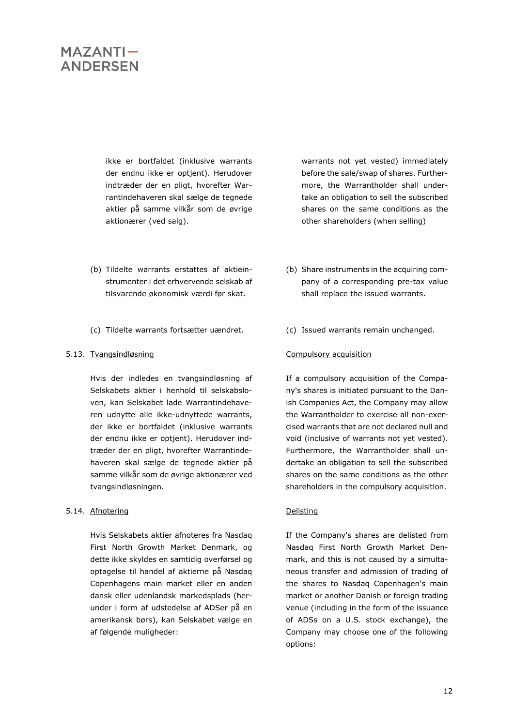ikke er bortfaldet (inklusive warrants der endnu ikke er optjent). Herudover indtræder der en pligt, hvorefter Warrantindehaveren skal sælge de tegnede aktier på samme vilkår som de øvrige aktionærer (ved salg).

- (b) Tildelte warrants erstattes af aktieinstrumenter i det erhvervende selskab af tilsvarende økonomisk værdi før skat.
- (c) Tildelte warrants fortsætter uændret. (c) Issued warrants remain unchanged.

Hvis der indledes en tvangsindløsning af Selskabets aktier i henhold til selskabsloven, kan Selskabet lade Warrantindehaveren udnytte alle ikke-udnyttede warrants, der ikke er bortfaldet (inklusive warrants der endnu ikke er optjent). Herudover indtræder der en pligt, hvorefter Warrantindehaveren skal sælge de tegnede aktier på samme vilkår som de øvrige aktionærer ved tvangsindløsningen.

#### <span id="page-11-1"></span>5.14. Afnotering **Delisting**

Hvis Selskabets aktier afnoteres fra Nasdaq First North Growth Market Denmark, og dette ikke skyldes en samtidig overførsel og optagelse til handel af aktierne på Nasdaq Copenhagens main market eller en anden dansk eller udenlandsk markedsplads (herunder i form af udstedelse af ADSer på en amerikansk børs), kan Selskabet vælge en af følgende muligheder:

warrants not yet vested) immediately before the sale/swap of shares. Furthermore, the Warrantholder shall undertake an obligation to sell the subscribed shares on the same conditions as the other shareholders (when selling)

- (b) Share instruments in the acquiring company of a corresponding pre-tax value shall replace the issued warrants.
- 

#### <span id="page-11-0"></span>5.13. Tvangsindløsning en andre Compulsory acquisition

If a compulsory acquisition of the Company's shares is initiated pursuant to the Danish Companies Act, the Company may allow the Warrantholder to exercise all non-exercised warrants that are not declared null and void (inclusive of warrants not yet vested). Furthermore, the Warrantholder shall undertake an obligation to sell the subscribed shares on the same conditions as the other shareholders in the compulsory acquisition.

If the Company's shares are delisted from Nasdaq First North Growth Market Denmark, and this is not caused by a simultaneous transfer and admission of trading of the shares to Nasdaq Copenhagen's main market or another Danish or foreign trading venue (including in the form of the issuance of ADSs on a U.S. stock exchange), the Company may choose one of the following options: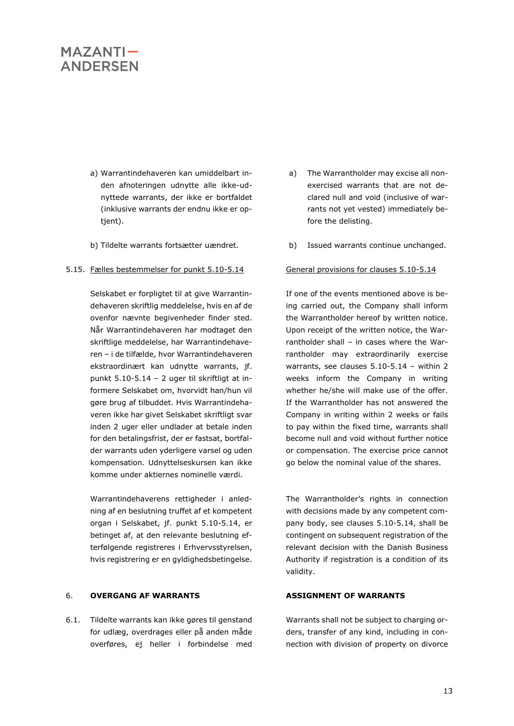- a) Warrantindehaveren kan umiddelbart inden afnoteringen udnytte alle ikke-udnyttede warrants, der ikke er bortfaldet (inklusive warrants der endnu ikke er optjent).
- 

#### 5.15. Fælles bestemmelser for punkt [5.10-](#page-9-0)[5.14](#page-11-1) General provisions for clauses [5.10-](#page-9-0)[5.14](#page-11-1)

Selskabet er forpligtet til at give Warrantindehaveren skriftlig meddelelse, hvis en af de ovenfor nævnte begivenheder finder sted. Når Warrantindehaveren har modtaget den skriftlige meddelelse, har Warrantindehaveren – i de tilfælde, hvor Warrantindehaveren ekstraordinært kan udnytte warrants, jf. punkt [5.10](#page-9-0)[-5.14](#page-11-1) – 2 uger til skriftligt at informere Selskabet om, hvorvidt han/hun vil gøre brug af tilbuddet. Hvis Warrantindehaveren ikke har givet Selskabet skriftligt svar inden 2 uger eller undlader at betale inden for den betalingsfrist, der er fastsat, bortfalder warrants uden yderligere varsel og uden kompensation. Udnyttelseskursen kan ikke komme under aktiernes nominelle værdi.

Warrantindehaverens rettigheder i anledning af en beslutning truffet af et kompetent organ i Selskabet, jf. punkt [5.10](#page-9-0)[-5.14,](#page-11-1) er betinget af, at den relevante beslutning efterfølgende registreres i Erhvervsstyrelsen, hvis registrering er en gyldighedsbetingelse.

#### 6. **OVERGANG AF WARRANTS ASSIGNMENT OF WARRANTS**

6.1. Tildelte warrants kan ikke gøres til genstand for udlæg, overdrages eller på anden måde overføres, ej heller i forbindelse med

- a) The Warrantholder may excise all nonexercised warrants that are not declared null and void (inclusive of warrants not yet vested) immediately before the delisting.
- b) Tildelte warrants fortsætter uændret. b) Issued warrants continue unchanged.

If one of the events mentioned above is being carried out, the Company shall inform the Warrantholder hereof by written notice. Upon receipt of the written notice, the Warrantholder shall – in cases where the Warrantholder may extraordinarily exercise warrants, see clauses [5.10](#page-9-0)[-5.14](#page-11-1) – within 2 weeks inform the Company in writing whether he/she will make use of the offer. If the Warrantholder has not answered the Company in writing within 2 weeks or fails to pay within the fixed time, warrants shall become null and void without further notice or compensation. The exercise price cannot go below the nominal value of the shares.

The Warrantholder's rights in connection with decisions made by any competent company body, see clauses [5.10](#page-9-0)[-5.14,](#page-11-1) shall be contingent on subsequent registration of the relevant decision with the Danish Business Authority if registration is a condition of its validity.

Warrants shall not be subject to charging orders, transfer of any kind, including in connection with division of property on divorce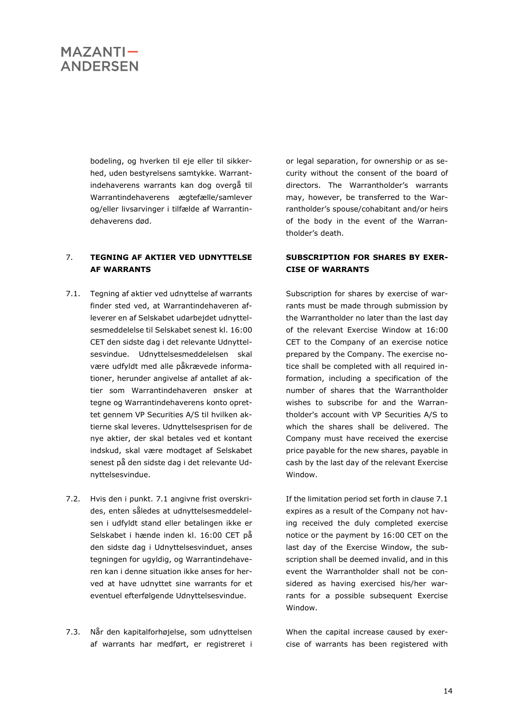bodeling, og hverken til eje eller til sikkerhed, uden bestyrelsens samtykke. Warrantindehaverens warrants kan dog overgå til Warrantindehaverens ægtefælle/samlever og/eller livsarvinger i tilfælde af Warrantindehaverens død.

### 7. **TEGNING AF AKTIER VED UDNYTTELSE AF WARRANTS**

- <span id="page-13-0"></span>7.1. Tegning af aktier ved udnyttelse af warrants finder sted ved, at Warrantindehaveren afleverer en af Selskabet udarbejdet udnyttelsesmeddelelse til Selskabet senest kl. 16:00 CET den sidste dag i det relevante Udnyttelsesvindue. Udnyttelsesmeddelelsen skal være udfyldt med alle påkrævede informationer, herunder angivelse af antallet af aktier som Warrantindehaveren ønsker at tegne og Warrantindehaverens konto oprettet gennem VP Securities A/S til hvilken aktierne skal leveres. Udnyttelsesprisen for de nye aktier, der skal betales ved et kontant indskud, skal være modtaget af Selskabet senest på den sidste dag i det relevante Udnyttelsesvindue.
- 7.2. Hvis den i punkt. [7.1](#page-13-0) angivne frist overskrides, enten således at udnyttelsesmeddelelsen i udfyldt stand eller betalingen ikke er Selskabet i hænde inden kl. 16:00 CET på den sidste dag i Udnyttelsesvinduet, anses tegningen for ugyldig, og Warrantindehaveren kan i denne situation ikke anses for herved at have udnyttet sine warrants for et eventuel efterfølgende Udnyttelsesvindue.
- 7.3. Når den kapitalforhøjelse, som udnyttelsen af warrants har medført, er registreret i

or legal separation, for ownership or as security without the consent of the board of directors. The Warrantholder's warrants may, however, be transferred to the Warrantholder's spouse/cohabitant and/or heirs of the body in the event of the Warrantholder's death.

### **SUBSCRIPTION FOR SHARES BY EXER-CISE OF WARRANTS**

Subscription for shares by exercise of warrants must be made through submission by the Warrantholder no later than the last day of the relevant Exercise Window at 16:00 CET to the Company of an exercise notice prepared by the Company. The exercise notice shall be completed with all required information, including a specification of the number of shares that the Warrantholder wishes to subscribe for and the Warrantholder's account with VP Securities A/S to which the shares shall be delivered. The Company must have received the exercise price payable for the new shares, payable in cash by the last day of the relevant Exercise Window.

If the limitation period set forth in clause [7.1](#page-13-0) expires as a result of the Company not having received the duly completed exercise notice or the payment by 16:00 CET on the last day of the Exercise Window, the subscription shall be deemed invalid, and in this event the Warrantholder shall not be considered as having exercised his/her warrants for a possible subsequent Exercise Window.

When the capital increase caused by exercise of warrants has been registered with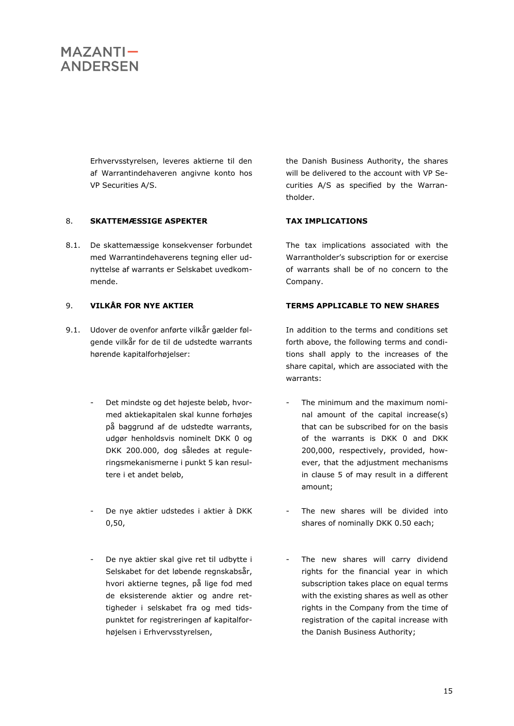Erhvervsstyrelsen, leveres aktierne til den af Warrantindehaveren angivne konto hos VP Securities A/S.

### 8. **SKATTEMÆSSIGE ASPEKTER TAX IMPLICATIONS**

8.1. De skattemæssige konsekvenser forbundet med Warrantindehaverens tegning eller udnyttelse af warrants er Selskabet uvedkommende.

- 9.1. Udover de ovenfor anførte vilkår gælder følgende vilkår for de til de udstedte warrants hørende kapitalforhøjelser:
	- Det mindste og det højeste beløb, hvormed aktiekapitalen skal kunne forhøjes på baggrund af de udstedte warrants, udgør henholdsvis nominelt DKK 0 og DKK 200.000, dog således at reguleringsmekanismerne i punkt [5](#page-5-0) kan resultere i et andet beløb,
	- De nye aktier udstedes i aktier à DKK 0,50,
	- De nye aktier skal give ret til udbytte i Selskabet for det løbende regnskabsår, hvori aktierne tegnes, på lige fod med de eksisterende aktier og andre rettigheder i selskabet fra og med tidspunktet for registreringen af kapitalforhøjelsen i Erhvervsstyrelsen,

the Danish Business Authority, the shares will be delivered to the account with VP Securities A/S as specified by the Warrantholder.

The tax implications associated with the Warrantholder's subscription for or exercise of warrants shall be of no concern to the Company.

### 9. **VILKÅR FOR NYE AKTIER TERMS APPLICABLE TO NEW SHARES**

In addition to the terms and conditions set forth above, the following terms and conditions shall apply to the increases of the share capital, which are associated with the warrants:

- The minimum and the maximum nominal amount of the capital increase(s) that can be subscribed for on the basis of the warrants is DKK 0 and DKK 200,000, respectively, provided, however, that the adjustment mechanisms in clause [5](#page-5-0) of may result in a different amount;
- The new shares will be divided into shares of nominally DKK 0.50 each;
- The new shares will carry dividend rights for the financial year in which subscription takes place on equal terms with the existing shares as well as other rights in the Company from the time of registration of the capital increase with the Danish Business Authority;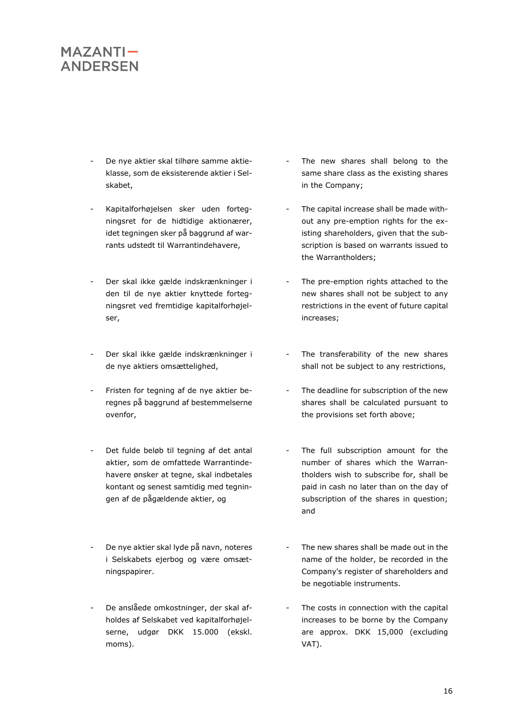- De nye aktier skal tilhøre samme aktieklasse, som de eksisterende aktier i Selskabet,
- Kapitalforhøjelsen sker uden fortegningsret for de hidtidige aktionærer, idet tegningen sker på baggrund af warrants udstedt til Warrantindehavere,
- Der skal ikke gælde indskrænkninger i den til de nye aktier knyttede fortegningsret ved fremtidige kapitalforhøjelser,
- Der skal ikke gælde indskrænkninger i de nye aktiers omsættelighed,
- Fristen for tegning af de nye aktier beregnes på baggrund af bestemmelserne ovenfor,
- Det fulde beløb til tegning af det antal aktier, som de omfattede Warrantindehavere ønsker at tegne, skal indbetales kontant og senest samtidig med tegningen af de pågældende aktier, og
- De nye aktier skal lyde på navn, noteres i Selskabets ejerbog og være omsætningspapirer.
- De anslåede omkostninger, der skal afholdes af Selskabet ved kapitalforhøjelserne, udgør DKK 15.000 (ekskl. moms).
- The new shares shall belong to the same share class as the existing shares in the Company;
- The capital increase shall be made without any pre-emption rights for the existing shareholders, given that the subscription is based on warrants issued to the Warrantholders;
- The pre-emption rights attached to the new shares shall not be subject to any restrictions in the event of future capital increases;
- The transferability of the new shares shall not be subject to any restrictions,
- The deadline for subscription of the new shares shall be calculated pursuant to the provisions set forth above;
- The full subscription amount for the number of shares which the Warrantholders wish to subscribe for, shall be paid in cash no later than on the day of subscription of the shares in question; and
- The new shares shall be made out in the name of the holder, be recorded in the Company's register of shareholders and be negotiable instruments.
- The costs in connection with the capital increases to be borne by the Company are approx. DKK 15,000 (excluding VAT).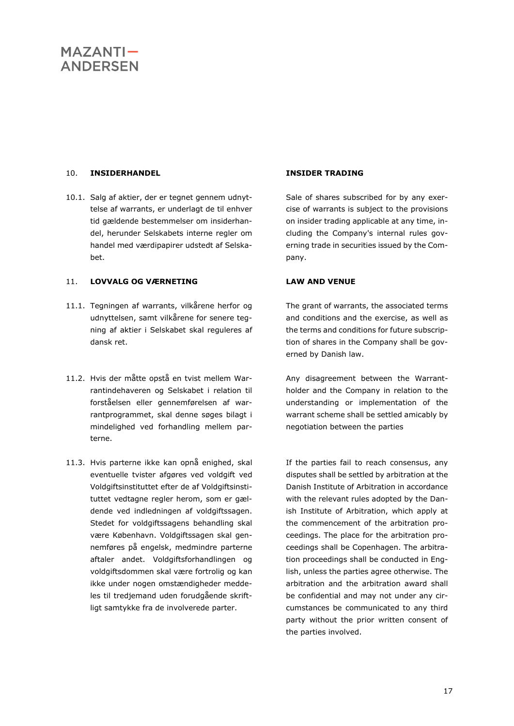### 10. **INSIDERHANDEL INSIDER TRADING**

10.1. Salg af aktier, der er tegnet gennem udnyttelse af warrants, er underlagt de til enhver tid gældende bestemmelser om insiderhandel, herunder Selskabets interne regler om handel med værdipapirer udstedt af Selskabet.

### 11. **LOVVALG OG VÆRNETING LAW AND VENUE**

- 11.1. Tegningen af warrants, vilkårene herfor og udnyttelsen, samt vilkårene for senere tegning af aktier i Selskabet skal reguleres af dansk ret.
- 11.2. Hvis der måtte opstå en tvist mellem Warrantindehaveren og Selskabet i relation til forståelsen eller gennemførelsen af warrantprogrammet, skal denne søges bilagt i mindelighed ved forhandling mellem parterne.
- 11.3. Hvis parterne ikke kan opnå enighed, skal eventuelle tvister afgøres ved voldgift ved Voldgiftsinstituttet efter de af Voldgiftsinstituttet vedtagne regler herom, som er gældende ved indledningen af voldgiftssagen. Stedet for voldgiftssagens behandling skal være København. Voldgiftssagen skal gennemføres på engelsk, medmindre parterne aftaler andet. Voldgiftsforhandlingen og voldgiftsdommen skal være fortrolig og kan ikke under nogen omstændigheder meddeles til tredjemand uden forudgående skriftligt samtykke fra de involverede parter.

Sale of shares subscribed for by any exercise of warrants is subject to the provisions on insider trading applicable at any time, including the Company's internal rules governing trade in securities issued by the Company.

The grant of warrants, the associated terms and conditions and the exercise, as well as the terms and conditions for future subscription of shares in the Company shall be governed by Danish law.

Any disagreement between the Warrantholder and the Company in relation to the understanding or implementation of the warrant scheme shall be settled amicably by negotiation between the parties

If the parties fail to reach consensus, any disputes shall be settled by arbitration at the Danish Institute of Arbitration in accordance with the relevant rules adopted by the Danish Institute of Arbitration, which apply at the commencement of the arbitration proceedings. The place for the arbitration proceedings shall be Copenhagen. The arbitration proceedings shall be conducted in English, unless the parties agree otherwise. The arbitration and the arbitration award shall be confidential and may not under any circumstances be communicated to any third party without the prior written consent of the parties involved.